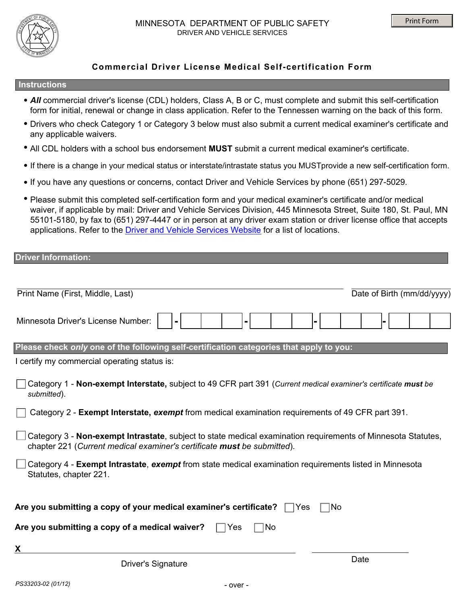

# **Commercial Driver License Medical Self-certification Form**

#### **Instructions**

- *All* commercial driver's license (CDL) holders, Class A, B or C, must complete and submit this self-certification **.** form for initial, renewal or change in class application. Refer to the Tennessen warning on the back of this form.
- Drivers who check Category 1 or Category 3 below must also submit a current medical examiner's certificate and **.** any applicable waivers.
- All CDL holders with a school bus endorsement **MUST** submit a current medical examiner's certificate. **.**
- If there is a change in your medical status or interstate/intrastate status you MUSTprovide a new self-certification form. **.**
- **.** If you have any questions or concerns, contact Driver and Vehicle Services by phone (651) 297-5029.
- Please submit this completed self-certification form and your medical examiner's certificate and/or medical **.** waiver, if applicable by mail: Driver and Vehicle Services Division, 445 Minnesota Street, Suite 180, St. Paul, MN 55101-5180, by fax to (651) 297-4447 or in person at any driver exam station or driver license office that accepts applications. Refer to the [Driver and Vehicle Services Website](https://dps.mn.gov/divisions/dvs/locations/Pages/default.aspx) for a list of locations.

| <b>Driver Information:</b>                                                                                     |                            |
|----------------------------------------------------------------------------------------------------------------|----------------------------|
|                                                                                                                |                            |
|                                                                                                                |                            |
| Print Name (First, Middle, Last)                                                                               | Date of Birth (mm/dd/yyyy) |
|                                                                                                                |                            |
| Minnesota Driver's License Number:                                                                             |                            |
|                                                                                                                |                            |
|                                                                                                                |                            |
| Please check only one of the following self-certification categories that apply to you:                        |                            |
| I certify my commercial operating status is:                                                                   |                            |
|                                                                                                                |                            |
| Category 1 - Non-exempt Interstate, subject to 49 CFR part 391 (Current medical examiner's certificate must be |                            |
| submitted).                                                                                                    |                            |
| Category 2 - Exempt Interstate, exempt from medical examination requirements of 49 CFR part 391.               |                            |
|                                                                                                                |                            |
| Category 3 - Non-exempt Intrastate, subject to state medical examination requirements of Minnesota Statutes,   |                            |
| chapter 221 (Current medical examiner's certificate must be submitted).                                        |                            |
| Category 4 - Exempt Intrastate, exempt from state medical examination requirements listed in Minnesota         |                            |
| Statutes, chapter 221.                                                                                         |                            |
|                                                                                                                |                            |
|                                                                                                                |                            |
| Are you submitting a copy of your medical examiner's certificate?<br><b>Yes</b>                                | No                         |
|                                                                                                                |                            |
| Are you submitting a copy of a medical waiver?<br>No<br>Yes                                                    |                            |
| X                                                                                                              |                            |
|                                                                                                                | Date                       |
| <b>Driver's Signature</b>                                                                                      |                            |